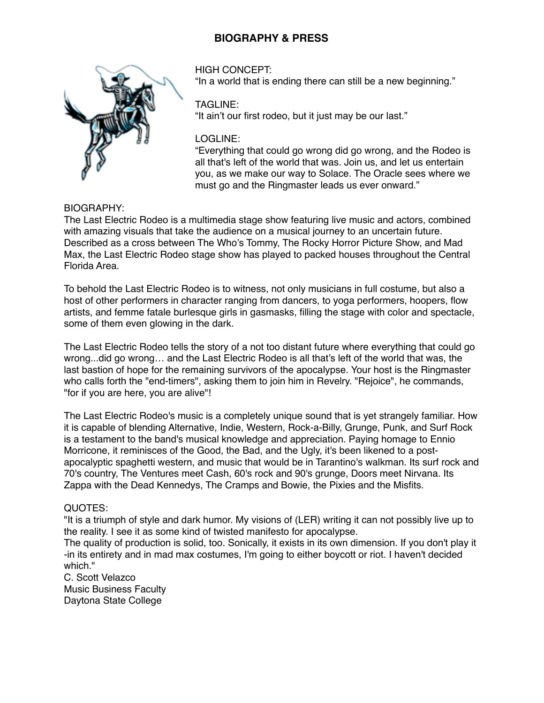# **BIOGRAPHY & PRESS**



HIGH CONCEPT: "In a world that is ending there can still be a new beginning."

#### TAGLINE:

"It ain't our first rodeo, but it just may be our last."

#### LOGLINE:

"Everything that could go wrong did go wrong, and the Rodeo is all that's left of the world that was. Join us, and let us entertain you, as we make our way to Solace. The Oracle sees where we must go and the Ringmaster leads us ever onward."

BIOGRAPHY:

The Last Electric Rodeo is a multimedia stage show featuring live music and actors, combined with amazing visuals that take the audience on a musical journey to an uncertain future. Described as a cross between The Who's Tommy, The Rocky Horror Picture Show, and Mad Max, the Last Electric Rodeo stage show has played to packed houses throughout the Central Florida Area.

To behold the Last Electric Rodeo is to witness, not only musicians in full costume, but also a host of other performers in character ranging from dancers, to yoga performers, hoopers, flow artists, and femme fatale burlesque girls in gasmasks, filling the stage with color and spectacle, some of them even glowing in the dark.

The Last Electric Rodeo tells the story of a not too distant future where everything that could go wrong...did go wrong… and the Last Electric Rodeo is all that's left of the world that was, the last bastion of hope for the remaining survivors of the apocalypse. Your host is the Ringmaster who calls forth the "end-timers", asking them to join him in Revelry. "Rejoice", he commands, "for if you are here, you are alive"!

The Last Electric Rodeo's music is a completely unique sound that is yet strangely familiar. How it is capable of blending Alternative, Indie, Western, Rock-a-Billy, Grunge, Punk, and Surf Rock is a testament to the band's musical knowledge and appreciation. Paying homage to Ennio Morricone, it reminisces of the Good, the Bad, and the Ugly, it's been likened to a postapocalyptic spaghetti western, and music that would be in Tarantino's walkman. Its surf rock and 70's country, The Ventures meet Cash, 60's rock and 90's grunge, Doors meet Nirvana. Its Zappa with the Dead Kennedys, The Cramps and Bowie, the Pixies and the Misfits.

### QUOTES:

"It is a triumph of style and dark humor. My visions of (LER) writing it can not possibly live up to the reality. I see it as some kind of twisted manifesto for apocalypse.

The quality of production is solid, too. Sonically, it exists in its own dimension. If you don't play it -in its entirety and in mad max costumes, I'm going to either boycott or riot. I haven't decided which."

C. Scott Velazco Music Business Faculty Daytona State College